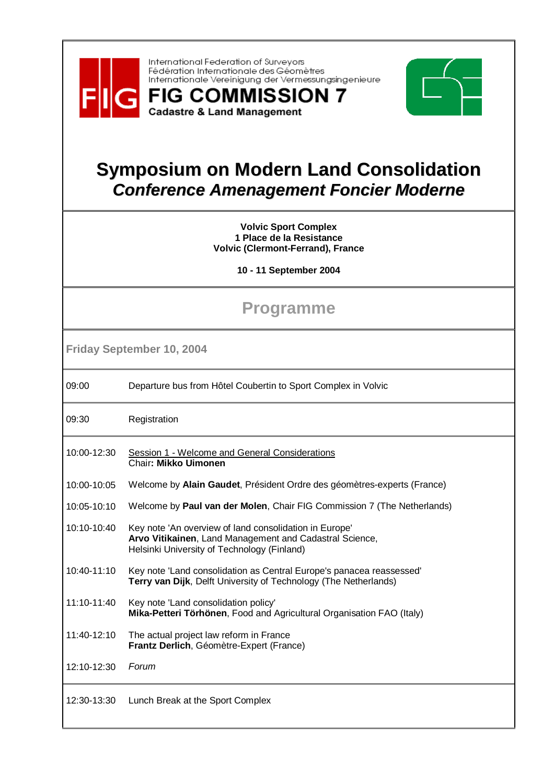

International Federation of Surveyors Fédération Internationale des Géomètres Internationale Vereinigung der Vermessungsingenieure

**FIG COMMISSION 7** 

**Cadastre & Land Management** 



## **Symposium on Modern Land Consolidation Conference Amenagement Foncier Moderne**

**Volvic Sport Complex 1 Place de la Resistance Volvic (Clermont-Ferrand), France** 

**10 - 11 September 2004** 

## **Programme**

**Friday September 10, 2004** 

| 09:00 |                                                               |
|-------|---------------------------------------------------------------|
|       | Departure bus from Hôtel Coubertin to Sport Complex in Volvic |

09:30 Registration

- 10:00-12:30 Session 1 - Welcome and General Considerations Chair**: Mikko Uimonen**
- 10:00-10:05 Welcome by **Alain Gaudet**, Président Ordre des géomètres-experts (France)
- 10:05-10:10 Welcome by **Paul van der Molen**, Chair FIG Commission 7 (The Netherlands)
- 10:10-10:40 Key note 'An overview of land consolidation in Europe' **Arvo Vitikainen**, Land Management and Cadastral Science, Helsinki University of Technology (Finland)
- 10:40-11:10 Key note 'Land consolidation as Central Europe's panacea reassessed' **Terry van Dijk**, Delft University of Technology (The Netherlands)
- 11:10-11:40 Key note 'Land consolidation policy' **Mika-Petteri Törhönen**, Food and Agricultural Organisation FAO (Italy)
- 11:40-12:10 The actual project law reform in France **Frantz Derlich**, Géomètre-Expert (France)

12:10-12:30 Forum

12:30-13:30 Lunch Break at the Sport Complex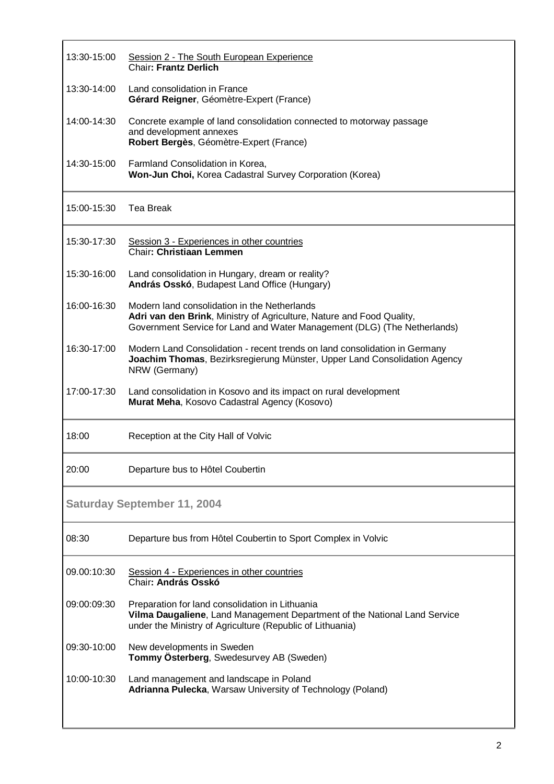| 13:30-15:00                        | Session 2 - The South European Experience<br><b>Chair: Frantz Derlich</b>                                                                                                                         |  |
|------------------------------------|---------------------------------------------------------------------------------------------------------------------------------------------------------------------------------------------------|--|
| 13:30-14:00                        | Land consolidation in France<br>Gérard Reigner, Géomètre-Expert (France)                                                                                                                          |  |
| 14:00-14:30                        | Concrete example of land consolidation connected to motorway passage<br>and development annexes<br>Robert Bergès, Géomètre-Expert (France)                                                        |  |
| 14:30-15:00                        | Farmland Consolidation in Korea,<br>Won-Jun Choi, Korea Cadastral Survey Corporation (Korea)                                                                                                      |  |
| 15:00-15:30                        | Tea Break                                                                                                                                                                                         |  |
| 15:30-17:30                        | Session 3 - Experiences in other countries<br>Chair: Christiaan Lemmen                                                                                                                            |  |
| 15:30-16:00                        | Land consolidation in Hungary, dream or reality?<br>András Osskó, Budapest Land Office (Hungary)                                                                                                  |  |
| 16:00-16:30                        | Modern land consolidation in the Netherlands<br>Adri van den Brink, Ministry of Agriculture, Nature and Food Quality,<br>Government Service for Land and Water Management (DLG) (The Netherlands) |  |
| 16:30-17:00                        | Modern Land Consolidation - recent trends on land consolidation in Germany<br>Joachim Thomas, Bezirksregierung Münster, Upper Land Consolidation Agency<br>NRW (Germany)                          |  |
| 17:00-17:30                        | Land consolidation in Kosovo and its impact on rural development<br>Murat Meha, Kosovo Cadastral Agency (Kosovo)                                                                                  |  |
| 18:00                              | Reception at the City Hall of Volvic                                                                                                                                                              |  |
| 20:00                              | Departure bus to Hôtel Coubertin                                                                                                                                                                  |  |
| <b>Saturday September 11, 2004</b> |                                                                                                                                                                                                   |  |
| 08:30                              | Departure bus from Hôtel Coubertin to Sport Complex in Volvic                                                                                                                                     |  |
| 09.00:10:30                        | Session 4 - Experiences in other countries<br>Chair: András Osskó                                                                                                                                 |  |
| 09:00:09:30                        | Preparation for land consolidation in Lithuania<br>Vilma Daugaliene, Land Management Department of the National Land Service<br>under the Ministry of Agriculture (Republic of Lithuania)         |  |
| 09:30-10:00                        | New developments in Sweden<br><b>Tommy Österberg, Swedesurvey AB (Sweden)</b>                                                                                                                     |  |
| 10:00-10:30                        | Land management and landscape in Poland<br>Adrianna Pulecka, Warsaw University of Technology (Poland)                                                                                             |  |
|                                    |                                                                                                                                                                                                   |  |